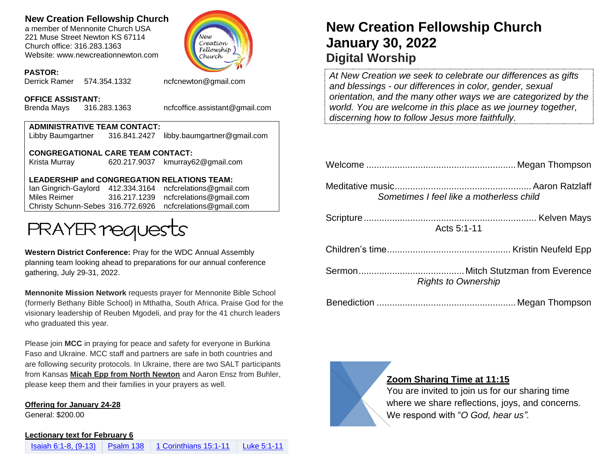## **New Creation Fellowship Church**

a member of Mennonite Church USA 221 Muse Street Newton KS 67114 Church office: 316.283.1363 Website: www.newcreationnewton.com



#### **PASTOR:**

Derrick Ramer 574.354.1332 [ncfcnewton@gmail.com](mailto:ncfcnewton@gmail.com)

**OFFICE ASSISTANT:**

Brenda Mays 316.283.1363 ncfcoffice.assistant@gmail.com

## **ADMINISTRATIVE TEAM CONTACT:**

Libby Baumgartner 316.841.2427 [libby.baumgartner@gmail.com](mailto:libby.baumgartner@gmail.com)

**CONGREGATIONAL CARE TEAM CONTACT:**

Krista Murray 620.217.9037 [kmurray62@gmail.com](mailto:kmurray62@gmail.com)

#### **LEADERSHIP and CONGREGATION RELATIONS TEAM:**

Ian Gingrich-Gaylord 412.334.3164 [ncfcrelations@gmail.com](mailto:ncfcrelations@gmail.com) Miles Reimer [316.217.1239](mailto:316.217.1239) [ncfcrelations@gmail.com](mailto:ncfcrelations@gmail.com) Christy Schunn-Sebes 316.772.6926 ncfcrelations@gmail.com



**Western District Conference:** Pray for the WDC Annual Assembly planning team looking ahead to preparations for our annual conference gathering, July 29-31, 2022.

**Mennonite Mission Network** requests prayer for Mennonite Bible School (formerly Bethany Bible School) in Mthatha, South Africa. Praise God for the visionary leadership of Reuben Mgodeli, and pray for the 41 church leaders who graduated this year.

Please join **MCC** in praying for peace and safety for everyone in Burkina Faso and Ukraine. MCC staff and partners are safe in both countries and are following security protocols. In Ukraine, there are two SALT participants from Kansas **Micah Epp from North Newton** and Aaron Ensz from Buhler, please keep them and their families in your prayers as well.

**Offering for January 24-28**

General: \$200.00

#### **Lectionary text for February 6**

# **New Creation Fellowship Church January 30, 2022 Digital Worship**

*At New Creation we seek to celebrate our differences as gifts and blessings - our differences in color, gender, sexual orientation, and the many other ways we are categorized by the world. You are welcome in this place as we journey together, discerning how to follow Jesus more faithfully.*

| Sometimes I feel like a motherless child |
|------------------------------------------|
| Acts 5:1-11                              |
|                                          |
| <b>Rights to Ownership</b>               |
|                                          |



### **Zoom Sharing Time at 11:15**

You are invited to join us for our sharing time where we share reflections, joys, and concerns. We respond with "*O God, hear us".*